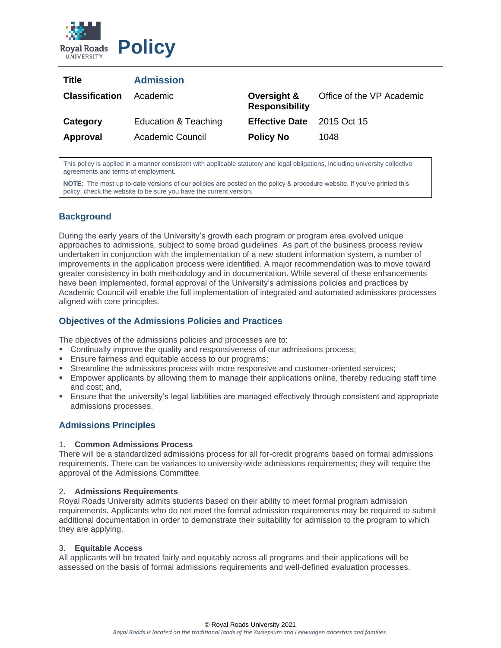

| Title                 | <b>Admission</b>     |                                      |                           |
|-----------------------|----------------------|--------------------------------------|---------------------------|
| <b>Classification</b> | Academic             | Oversight &<br><b>Responsibility</b> | Office of the VP Academic |
| Category              | Education & Teaching | Effective Date 2015 Oct 15           |                           |
| Approval              | Academic Council     | <b>Policy No</b>                     | 1048                      |

This policy is applied in a manner consistent with applicable statutory and legal obligations, including university collective agreements and terms of employment.

**NOTE**: The most up-to-date versions of our policies are posted on the policy & procedure website. If you've printed this policy, check the website to be sure you have the current version.

# **Background**

During the early years of the University's growth each program or program area evolved unique approaches to admissions, subject to some broad guidelines. As part of the business process review undertaken in conjunction with the implementation of a new student information system, a number of improvements in the application process were identified. A major recommendation was to move toward greater consistency in both methodology and in documentation. While several of these enhancements have been implemented, formal approval of the University's admissions policies and practices by Academic Council will enable the full implementation of integrated and automated admissions processes aligned with core principles.

# **Objectives of the Admissions Policies and Practices**

The objectives of the admissions policies and processes are to:

- **Continually improve the quality and responsiveness of our admissions process;**
- **Ensure fairness and equitable access to our programs;**
- **EXECUTE:** Streamline the admissions process with more responsive and customer-oriented services;
- **Empower applicants by allowing them to manage their applications online, thereby reducing staff time** and cost; and,
- Ensure that the university's legal liabilities are managed effectively through consistent and appropriate admissions processes.

# **Admissions Principles**

## 1. **Common Admissions Process**

There will be a standardized admissions process for all for-credit programs based on formal admissions requirements. There can be variances to university-wide admissions requirements; they will require the approval of the Admissions Committee.

## 2. **Admissions Requirements**

Royal Roads University admits students based on their ability to meet formal program admission requirements. Applicants who do not meet the formal admission requirements may be required to submit additional documentation in order to demonstrate their suitability for admission to the program to which they are applying.

## 3. **Equitable Access**

All applicants will be treated fairly and equitably across all programs and their applications will be assessed on the basis of formal admissions requirements and well-defined evaluation processes.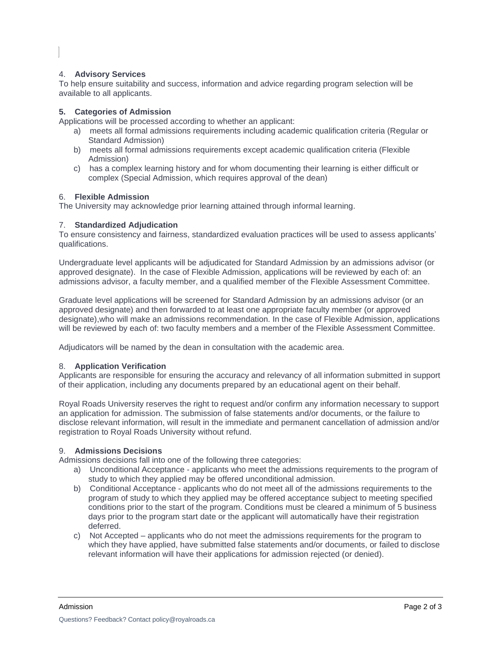## 4. **Advisory Services**

To help ensure suitability and success, information and advice regarding program selection will be available to all applicants.

## **5. Categories of Admission**

Applications will be processed according to whether an applicant:

- a) meets all formal admissions requirements including academic qualification criteria (Regular or Standard Admission)
- b) meets all formal admissions requirements except academic qualification criteria (Flexible Admission)
- c) has a complex learning history and for whom documenting their learning is either difficult or complex (Special Admission, which requires approval of the dean)

#### 6. **Flexible Admission**

The University may acknowledge prior learning attained through informal learning.

## 7. **Standardized Adjudication**

To ensure consistency and fairness, standardized evaluation practices will be used to assess applicants' qualifications.

Undergraduate level applicants will be adjudicated for Standard Admission by an admissions advisor (or approved designate). In the case of Flexible Admission, applications will be reviewed by each of: an admissions advisor, a faculty member, and a qualified member of the Flexible Assessment Committee.

Graduate level applications will be screened for Standard Admission by an admissions advisor (or an approved designate) and then forwarded to at least one appropriate faculty member (or approved designate),who will make an admissions recommendation. In the case of Flexible Admission, applications will be reviewed by each of: two faculty members and a member of the Flexible Assessment Committee.

Adjudicators will be named by the dean in consultation with the academic area.

#### 8. **Application Verification**

Applicants are responsible for ensuring the accuracy and relevancy of all information submitted in support of their application, including any documents prepared by an educational agent on their behalf.

Royal Roads University reserves the right to request and/or confirm any information necessary to support an application for admission. The submission of false statements and/or documents, or the failure to disclose relevant information, will result in the immediate and permanent cancellation of admission and/or registration to Royal Roads University without refund.

## 9. **Admissions Decisions**

Admissions decisions fall into one of the following three categories:

- a) Unconditional Acceptance applicants who meet the admissions requirements to the program of study to which they applied may be offered unconditional admission.
- b) Conditional Acceptance applicants who do not meet all of the admissions requirements to the program of study to which they applied may be offered acceptance subject to meeting specified conditions prior to the start of the program. Conditions must be cleared a minimum of 5 business days prior to the program start date or the applicant will automatically have their registration deferred.
- c) Not Accepted applicants who do not meet the admissions requirements for the program to which they have applied, have submitted false statements and/or documents, or failed to disclose relevant information will have their applications for admission rejected (or denied).